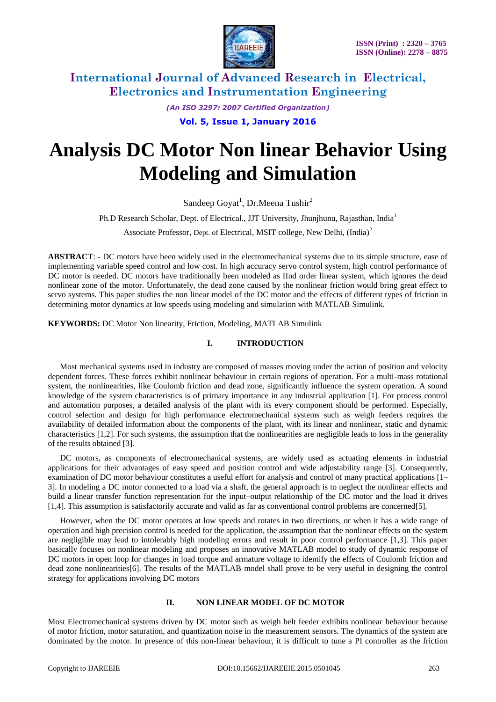

*(An ISO 3297: 2007 Certified Organization)*

**Vol. 5, Issue 1, January 2016**

# **Analysis DC Motor Non linear Behavior Using Modeling and Simulation**

Sandeep Goyat<sup>1</sup>, Dr.Meena Tushir<sup>2</sup>

Ph.D Research Scholar, Dept. of Electrical., JJT University, Jhunihunu, Rajasthan, India<sup>1</sup>

Associate Professor, Dept. of Electrical, MSIT college, New Delhi, (India)<sup>2</sup>

**ABSTRACT**: **-** DC motors have been widely used in the electromechanical systems due to its simple structure, ease of implementing variable speed control and low cost. In high accuracy servo control system, high control performance of DC motor is needed. DC motors have traditionally been modeled as IInd order linear system, which ignores the dead nonlinear zone of the motor. Unfortunately, the dead zone caused by the nonlinear friction would bring great effect to servo systems. This paper studies the non linear model of the DC motor and the effects of different types of friction in determining motor dynamics at low speeds using modeling and simulation with MATLAB Simulink.

**KEYWORDS:** DC Motor Non linearity, Friction, Modeling, MATLAB Simulink

#### **I. INTRODUCTION**

Most mechanical systems used in industry are composed of masses moving under the action of position and velocity dependent forces. These forces exhibit nonlinear behaviour in certain regions of operation. For a multi-mass rotational system, the nonlinearities, like Coulomb friction and dead zone, significantly influence the system operation. A sound knowledge of the system characteristics is of primary importance in any industrial application [1]. For process control and automation purposes, a detailed analysis of the plant with its every component should be performed. Especially, control selection and design for high performance electromechanical systems such as weigh feeders requires the availability of detailed information about the components of the plant, with its linear and nonlinear, static and dynamic characteristics [1,2]. For such systems, the assumption that the nonlinearities are negligible leads to loss in the generality of the results obtained [3].

DC motors, as components of electromechanical systems, are widely used as actuating elements in industrial applications for their advantages of easy speed and position control and wide adjustability range [3]. Consequently, examination of DC motor behaviour constitutes a useful effort for analysis and control of many practical applications [1– 3]. In modeling a DC motor connected to a load via a shaft, the general approach is to neglect the nonlinear effects and build a linear transfer function representation for the input–output relationship of the DC motor and the load it drives [1,4]. This assumption is satisfactorily accurate and valid as far as conventional control problems are concerned[5].

However, when the DC motor operates at low speeds and rotates in two directions, or when it has a wide range of operation and high precision control is needed for the application, the assumption that the nonlinear effects on the system are negligible may lead to intolerably high modeling errors and result in poor control performance [1,3]. This paper basically focuses on nonlinear modeling and proposes an innovative MATLAB model to study of dynamic response of DC motors in open loop for changes in load torque and armature voltage to identify the effects of Coulomb friction and dead zone nonlinearities[6]. The results of the MATLAB model shall prove to be very useful in designing the control strategy for applications involving DC motors

#### **II. NON LINEAR MODEL OF DC MOTOR**

Most Electromechanical systems driven by DC motor such as weigh belt feeder exhibits nonlinear behaviour because of motor friction, motor saturation, and quantization noise in the measurement sensors. The dynamics of the system are dominated by the motor. In presence of this non-linear behaviour, it is difficult to tune a PI controller as the friction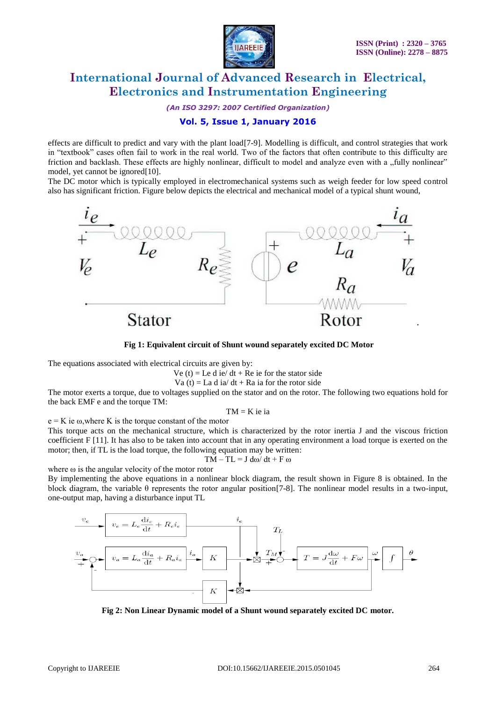

*(An ISO 3297: 2007 Certified Organization)*

### **Vol. 5, Issue 1, January 2016**

effects are difficult to predict and vary with the plant load[7-9]. Modelling is difficult, and control strategies that work in "textbook" cases often fail to work in the real world. Two of the factors that often contribute to this difficulty are friction and backlash. These effects are highly nonlinear, difficult to model and analyze even with a "fully nonlinear" model, yet cannot be ignored[10].

The DC motor which is typically employed in electromechanical systems such as weigh feeder for low speed control also has significant friction. Figure below depicts the electrical and mechanical model of a typical shunt wound,



**Fig 1: Equivalent circuit of Shunt wound separately excited DC Motor**

The equations associated with electrical circuits are given by:

Ve (t) = Le d ie/ dt + Re ie for the stator side

Va (t) = La d ia/ dt + Ra ia for the rotor side

The motor exerts a torque, due to voltages supplied on the stator and on the rotor. The following two equations hold for the back EMF e and the torque TM:

 $TM = K$  ie ia

 $e = K$  ie  $\omega$ , where K is the torque constant of the motor

This torque acts on the mechanical structure, which is characterized by the rotor inertia J and the viscous friction coefficient F [11]. It has also to be taken into account that in any operating environment a load torque is exerted on the motor; then, if TL is the load torque, the following equation may be written:

$$
TM-TL=J\;d\omega/\;dt+F\;\omega
$$

where  $\omega$  is the angular velocity of the motor rotor

By implementing the above equations in a nonlinear block diagram, the result shown in Figure 8 is obtained. In the block diagram, the variable  $\theta$  represents the rotor angular position [7-8]. The nonlinear model results in a two-input, one-output map, having a disturbance input TL



**Fig 2: Non Linear Dynamic model of a Shunt wound separately excited DC motor.**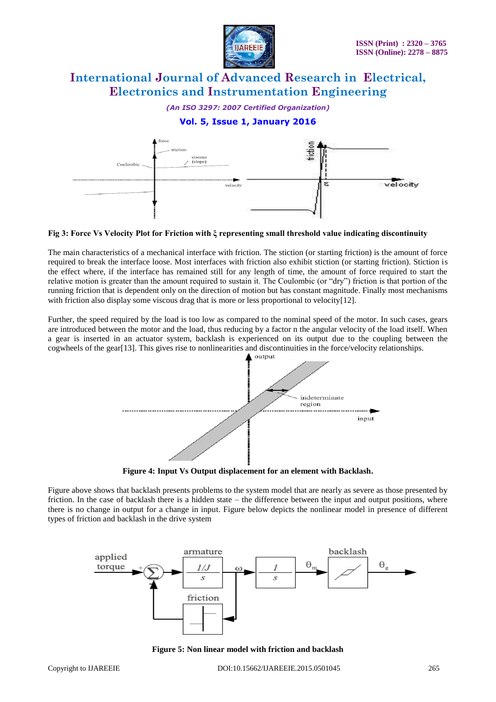

*(An ISO 3297: 2007 Certified Organization)*

### **Vol. 5, Issue 1, January 2016**



#### **Fig 3: Force Vs Velocity Plot for Friction with ξ representing small threshold value indicating discontinuity**

The main characteristics of a mechanical interface with friction. The stiction (or starting friction) is the amount of force required to break the interface loose. Most interfaces with friction also exhibit stiction (or starting friction). Stiction is the effect where, if the interface has remained still for any length of time, the amount of force required to start the relative motion is greater than the amount required to sustain it. The Coulombic (or "dry") friction is that portion of the running friction that is dependent only on the direction of motion but has constant magnitude. Finally most mechanisms with friction also display some viscous drag that is more or less proportional to velocity[12].

Further, the speed required by the load is too low as compared to the nominal speed of the motor. In such cases, gears are introduced between the motor and the load, thus reducing by a factor n the angular velocity of the load itself. When a gear is inserted in an actuator system, backlash is experienced on its output due to the coupling between the cogwheels of the gear[13]. This gives rise to nonlinearities and discontinuities in the force/velocity relationships.



**Figure 4: Input Vs Output displacement for an element with Backlash.**

Figure above shows that backlash presents problems to the system model that are nearly as severe as those presented by friction. In the case of backlash there is a hidden state – the difference between the input and output positions, where there is no change in output for a change in input. Figure below depicts the nonlinear model in presence of different types of friction and backlash in the drive system



**Figure 5: Non linear model with friction and backlash**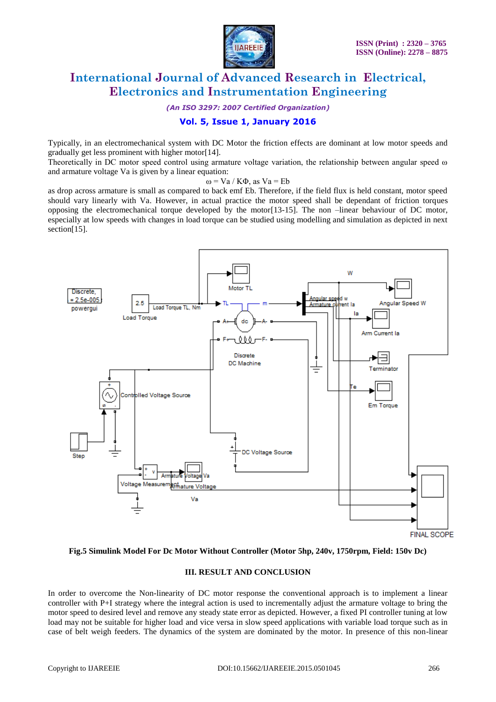

*(An ISO 3297: 2007 Certified Organization)*

### **Vol. 5, Issue 1, January 2016**

Typically, in an electromechanical system with DC Motor the friction effects are dominant at low motor speeds and gradually get less prominent with higher motor[14].

Theoretically in DC motor speed control using armature voltage variation, the relationship between angular speed ω and armature voltage Va is given by a linear equation:

#### ω = Va / KΦ, as Va = Eb

as drop across armature is small as compared to back emf Eb. Therefore, if the field flux is held constant, motor speed should vary linearly with Va. However, in actual practice the motor speed shall be dependant of friction torques opposing the electromechanical torque developed by the motor[13-15]. The non –linear behaviour of DC motor, especially at low speeds with changes in load torque can be studied using modelling and simulation as depicted in next section[15].



#### **Fig.5 Simulink Model For Dc Motor Without Controller (Motor 5hp, 240v, 1750rpm, Field: 150v Dc)**

#### **III. RESULT AND CONCLUSION**

In order to overcome the Non-linearity of DC motor response the conventional approach is to implement a linear controller with P+I strategy where the integral action is used to incrementally adjust the armature voltage to bring the motor speed to desired level and remove any steady state error as depicted. However, a fixed PI controller tuning at low load may not be suitable for higher load and vice versa in slow speed applications with variable load torque such as in case of belt weigh feeders. The dynamics of the system are dominated by the motor. In presence of this non-linear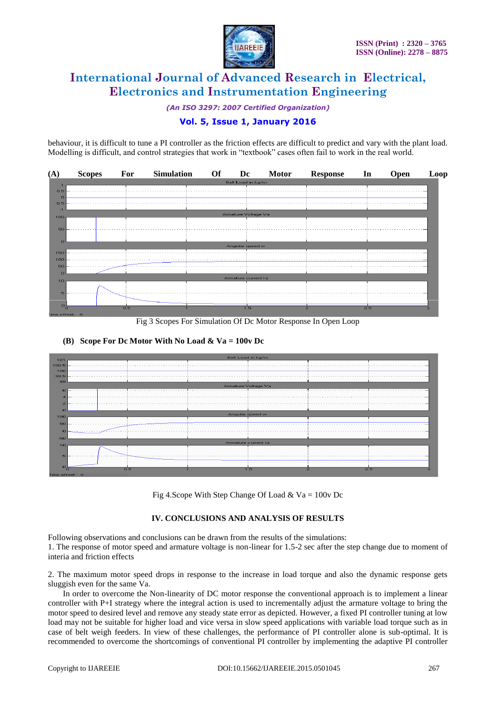

*(An ISO 3297: 2007 Certified Organization)*

### **Vol. 5, Issue 1, January 2016**

behaviour, it is difficult to tune a PI controller as the friction effects are difficult to predict and vary with the plant load. Modelling is difficult, and control strategies that work in "textbook" cases often fail to work in the real world.



Fig 3 Scopes For Simulation Of Dc Motor Response In Open Loop

#### **(B) Scope For Dc Motor With No Load & Va = 100v Dc**



Fig 4.Scope With Step Change Of Load & Va =  $100v$  Dc

#### **IV. CONCLUSIONS AND ANALYSIS OF RESULTS**

Following observations and conclusions can be drawn from the results of the simulations:

1. The response of motor speed and armature voltage is non-linear for 1.5-2 sec after the step change due to moment of interia and friction effects

2. The maximum motor speed drops in response to the increase in load torque and also the dynamic response gets sluggish even for the same Va.

In order to overcome the Non-linearity of DC motor response the conventional approach is to implement a linear controller with P+I strategy where the integral action is used to incrementally adjust the armature voltage to bring the motor speed to desired level and remove any steady state error as depicted. However, a fixed PI controller tuning at low load may not be suitable for higher load and vice versa in slow speed applications with variable load torque such as in case of belt weigh feeders. In view of these challenges, the performance of PI controller alone is sub-optimal. It is recommended to overcome the shortcomings of conventional PI controller by implementing the adaptive PI controller